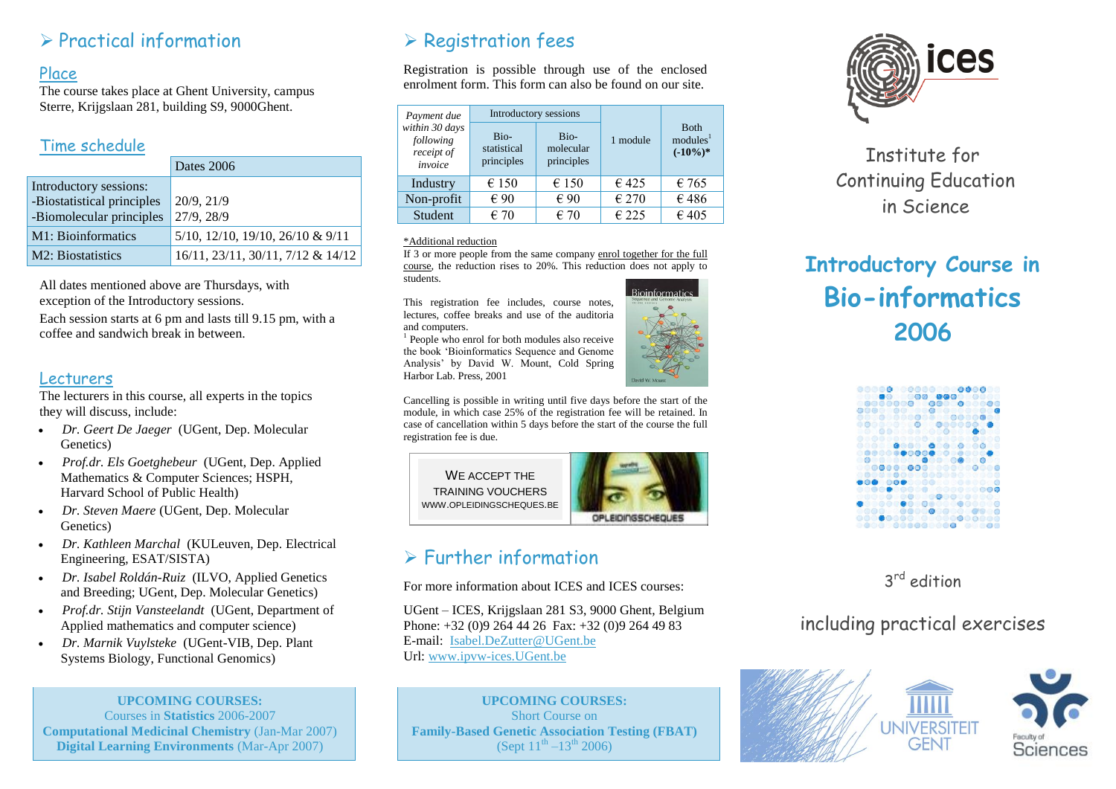### $\triangleright$  Practical information

#### Place

The course takes place at Ghent University, campus Sterre, Krijgslaan 281, building S9, 9000Ghent.

#### Time schedule

|                                                      | Dates 2006                        |
|------------------------------------------------------|-----------------------------------|
| Introductory sessions:<br>-Biostatistical principles | 20/9, 21/9                        |
| -Biomolecular principles                             | 27/9, 28/9                        |
| M1: Bioinformatics                                   | 5/10, 12/10, 19/10, 26/10 & 9/11  |
| M2: Biostatistics                                    | 16/11, 23/11, 30/11, 7/12 & 14/12 |

All dates mentioned above are Thursdays, with exception of the Introductory sessions.

Each session starts at 6 pm and lasts till 9.15 pm, with a coffee and sandwich break in between.

#### Lecturers

The lecturers in this course, all experts in the topics they will discuss, include:

- *Dr. Geert De Jaeger* (UGent, Dep. Molecular Genetics)
- *Prof.dr. Els Goetghebeur* (UGent, Dep. Applied Mathematics & Computer Sciences; HSPH, Harvard School of Public Health)
- *Dr. Steven Maere* (UGent, Dep. Molecular Genetics)
- *Dr. Kathleen Marchal* (KULeuven, Dep. Electrical Engineering, ESAT/SISTA)
- *Dr. Isabel Roldán-Ruiz* (ILVO, Applied Genetics and Breeding; UGent, Dep. Molecular Genetics)
- *Prof.dr. Stijn Vansteelandt* (UGent, Department of Applied mathematics and computer science)
- *Dr. Marnik Vuylsteke* (UGent-VIB, Dep. Plant Systems Biology, Functional Genomics)

**UPCOMING COURSES:** Courses in **Statistics** 2006-2007 **Computational Medicinal Chemistry** (Jan-Mar 2007) **Digital Learning Environments** (Mar-Apr 2007)

# $\triangleright$  Registration fees

Registration is possible through use of the enclosed enrolment form. This form can also be found on our site.

| Payment due<br>within 30 days<br>following<br>receipt of<br>invoice | Introductory sessions             |                                 |                |                                                    |
|---------------------------------------------------------------------|-----------------------------------|---------------------------------|----------------|----------------------------------------------------|
|                                                                     | Bio-<br>statistical<br>principles | Bio-<br>molecular<br>principles | 1 module       | <b>B</b> oth<br>modules <sup>1</sup><br>$(-10\%)*$ |
| Industry                                                            | €150                              | €150                            | €425           | $\epsilon$ 765                                     |
| Non-profit                                                          | € 90                              | € 90                            | $\epsilon$ 270 | €486                                               |
| Student                                                             | $\epsilon$ 70                     | $\epsilon$ 70                   | $\epsilon$ 225 | $\epsilon$ 405                                     |

#### \*Additional reduction

If 3 or more people from the same company enrol together for the full course, the reduction rises to 20%. This reduction does not apply to students.

This registration fee includes, course notes, lectures, coffee breaks and use of the auditoria and computers.

<sup>1</sup> People who enrol for both modules also receive the book 'Bioinformatics Sequence and Genome Analysis' by David W. Mount, Cold Spring Harbor Lab. Press, 2001

Cancelling is possible in writing until five days before the start of the module, in which case 25% of the registration fee will be retained. In case of cancellation within 5 days before the start of the course the full registration fee is due.



# Further information

For more information about ICES and ICES courses:

UGent – ICES, Krijgslaan 281 S3, 9000 Ghent, Belgium Phone: +32 (0)9 264 44 26 Fax: +32 (0)9 264 49 83 E-mail: [Isabel.DeZutter@UGent.be](mailto:Isabel.DeZutter@UGent.be) Url: [www.ipvw-ices.UGent.be](http://www.ipvw-ices.ugent.be/)

**UPCOMING COURSES:** Short Course on **Family-Based Genetic Association Testing (FBAT)** (Sept  $11^{th} - 13^{th}$  2006)



# Institute for Continuing Education in Science

# **Introductory Course in Bio-informatics 2006**



3<sup>rd</sup> edition

# including practical exercises